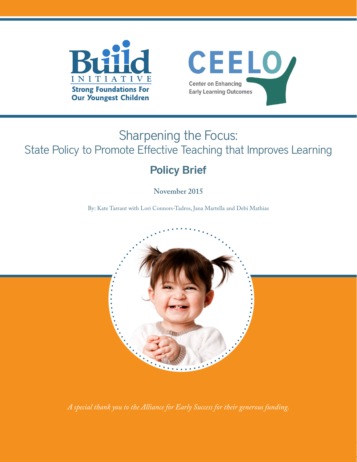



# Sharpening the Focus: State Policy to Promote Effective Teaching that Improves Learning

## Policy Brief

**November 2015**

By: Kate Tarrant with Lori Connors-Tadros, Jana Martella and Debi Mathias



*A special thank you to the Alliance for Early Success for their generous funding.*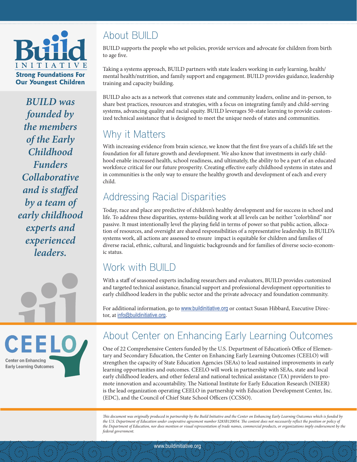

*BUILD was founded by the members of the Early Childhood Funders Collaborative and is staffed by a team of early childhood experts and experienced leaders.*

### About BUILD

BUILD supports the people who set policies, provide services and advocate for children from birth to age five.

Taking a systems approach, BUILD partners with state leaders working in early learning, health/ mental health/nutrition, and family support and engagement. BUILD provides guidance, leadership training and capacity building.

BUILD also acts as a network that convenes state and community leaders, online and in-person, to share best practices, resources and strategies, with a focus on integrating family and child-serving systems, advancing quality and racial equity. BUILD leverages 50-state learning to provide customized technical assistance that is designed to meet the unique needs of states and communities.

### Why it Matters

With increasing evidence from brain science, we know that the first five years of a child's life set the foundation for all future growth and development. We also know that investments in early childhood enable increased health, school readiness, and ultimately, the ability to be a part of an educated workforce critical for our future prosperity. Creating effective early childhood systems in states and in communities is the only way to ensure the healthy growth and development of each and every child.

### Addressing Racial Disparities

Today, race and place are predictive of children's healthy development and for success in school and life. To address these disparities, systems-building work at all levels can be neither "colorblind" nor passive. It must intentionally level the playing field in terms of power so that public action, allocation of resources, and oversight are shared responsibilities of a representative leadership. In BUILD's systems work, all actions are assessed to ensure impact is equitable for children and families of diverse racial, ethnic, cultural, and linguistic backgrounds and for families of diverse socio-economic status.

#### Work with BUILD

With a staff of seasoned experts including researchers and evaluators, BUILD provides customized and targeted technical assistance, financial support and professional development opportunities to early childhood leaders in the public sector and the private advocacy and foundation community.

For additional information, go to [www.buildinitiative.org](http://www.buildinitiative.org) or contact Susan Hibbard, Executive Director, at [info@buildinitiative.org](mailto:info%40buildinitiative.org?subject=).



#### About Center on Enhancing Early Learning Outcomes

One of 22 Comprehensive Centers funded by the U.S. Department of Education's Office of Elementary and Secondary Education, the Center on Enhancing Early Learning Outcomes (CEELO) will strengthen the capacity of State Education Agencies (SEAs) to lead sustained improvements in early learning opportunities and outcomes. CEELO will work in partnership with SEAs, state and local early childhood leaders, and other federal and national technical assistance (TA) providers to promote innovation and accountability. The National Institute for Early Education Research (NIEER) is the lead organization operating CEELO in partnership with Education Development Center, Inc. (EDC), and the Council of Chief State School Officers (CCSSO).

*This document was originally produced in partnership by the Build Initiative and the Center on Enhancing Early Learning Outcomes which is funded by*  the U.S. Department of Education under cooperative agreement number S283B120054. The content does not necessarily reflect the position or policy of *the Department of Education, nor does mention or visual representation of trade names, commercial products, or organizations imply endorsement by the federal government.*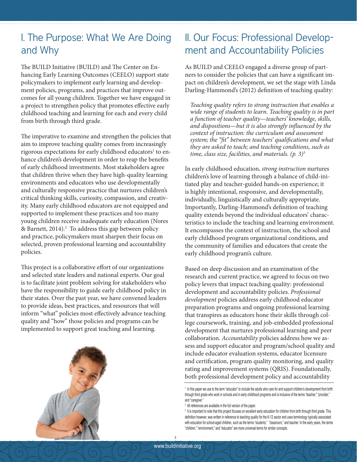#### I. The Purpose: What We Are Doing and Why

The BUILD Initiative (BUILD) and The Center on Enhancing Early Learning Outcomes (CEELO) support state policymakers to implement early learning and development policies, programs, and practices that improve outcomes for all young children. Together we have engaged in a project to strengthen policy that promotes effective early childhood teaching and learning for each and every child from birth through third grade.

The imperative to examine and strengthen the policies that aim to improve teaching quality comes from increasingly rigorous expectations for early childhood educators<sup>1</sup> to enhance children's development in order to reap the benefits of early childhood investments. Most stakeholders agree that children thrive when they have high-quality learning environments and educators who use developmentally and culturally responsive practice that nurtures children's critical thinking skills, curiosity, compassion, and creativity. Many early childhood educators are not equipped and supported to implement these practices and too many young children receive inadequate early education (Nores & Barnett, 2014).<sup>2</sup> To address this gap between policy and practice, policymakers must sharpen their focus on selected, proven professional learning and accountability policies.

This project is a collaborative effort of our organizations and selected state leaders and national experts. Our goal is to facilitate joint problem solving for stakeholders who have the responsibility to guide early childhood policy in their states. Over the past year, we have convened leaders to provide ideas, best practices, and resources that will inform "what" policies most effectively advance teaching quality and "how" those policies and programs can be implemented to support great teaching and learning.



#### II. Our Focus: Professional Development and Accountability Policies

As BUILD and CEELO engaged a diverse group of partners to consider the policies that can have a significant impact on children's development, we set the stage with Linda Darling-Hammond's (2012) definition of teaching quality:

*Teaching quality refers to strong instruction that enables a wide range of students to learn. Teaching quality is in part a function of teacher quality—teachers' knowledge, skills, and dispositions—but it is also strongly influenced by the context of instruction: the curriculum and assessment system; the "fit" between teachers' qualifications and what they are asked to teach; and teaching conditions, such as time, class size, facilities, and materials. (p. 3)3* 

In early childhood education, *strong instruction* nurtures children's love of learning through a balance of child-initiated play and teacher-guided hands-on experience; it is highly intentional, responsive, and developmentally, individually, linguistically and culturally appropriate. Importantly, Darling-Hammond's definition of teaching quality extends beyond the individual educators' characteristics to include the teaching and learning environment. It encompasses the context of instruction, the school and early childhood program organizational conditions, and the community of families and educators that create the early childhood program's culture.

Based on deep discussion and an examination of the research and current practice, we agreed to focus on two policy levers that impact teaching quality: professional development and accountability policies. *Professional development* policies address early childhood educator preparation programs and ongoing professional learning that transpires as educators hone their skills through college coursework, training, and job-embedded professional development that nurtures professional learning and peer collaboration. *Accountability* policies address how we assess and support educator and program/school quality and include educator evaluation systems, educator licensure and certification, program quality monitoring, and quality rating and improvement systems (QRIS). Foundationally, both professional development policy and accountability

<sup>1</sup> In this paper we use to the term "educator" to include the adults who care for and support children's development from birth through third grade who work in schools and in early childhood programs and is inclusive of the terms "teacher," "provider," and "caregiver."

<sup>2</sup> All references are available in the full version of the paper.

<sup>3</sup> It is important to note that this project focuses on excellent early education for children from birth through third grade. This definition however, was written in reference to teaching quality for the K-12 sector and uses terminology typically associated with education for school-aged children, such as the terms "students," "classroom," and teacher. In the early years, the terms "children," "environment," and "educator" are more universal terms for similar concepts.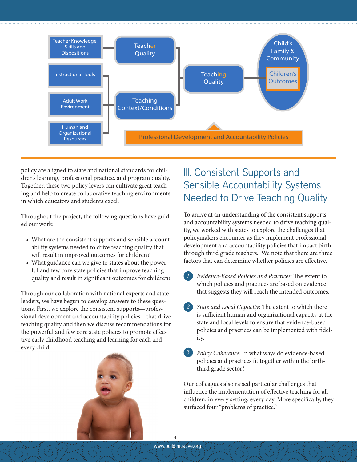

policy are aligned to state and national standards for children's learning, professional practice, and program quality. Together, these two policy levers can cultivate great teaching and help to create collaborative teaching environments in which educators and students excel.

Throughout the project, the following questions have guided our work:

- What are the consistent supports and sensible accountability systems needed to drive teaching quality that will result in improved outcomes for children?
- What guidance can we give to states about the powerful and few core state policies that improve teaching quality and result in significant outcomes for children?

Through our collaboration with national experts and state leaders, we have begun to develop answers to these questions. First, we explore the consistent supports—professional development and accountability policies—that drive teaching quality and then we discuss recommendations for the powerful and few core state policies to promote effective early childhood teaching and learning for each and every child.



### III. Consistent Supports and Sensible Accountability Systems Needed to Drive Teaching Quality

To arrive at an understanding of the consistent supports and accountability systems needed to drive teaching quality, we worked with states to explore the challenges that policymakers encounter as they implement professional development and accountability policies that impact birth through third grade teachers. We note that there are three factors that can determine whether policies are effective.

- *Evidence-Based Policies and Practices:* The extent to which policies and practices are based on evidence that suggests they will reach the intended outcomes. *1*
- *State and Local Capacity:* The extent to which there is sufficient human and organizational capacity at the state and local levels to ensure that evidence-based policies and practices can be implemented with fidelity. *2*
- *Policy Coherence:* In what ways do evidence-based policies and practices fit together within the birththird grade sector? *3*

Our colleagues also raised particular challenges that influence the implementation of effective teaching for all children, in every setting, every day. More specifically, they surfaced four "problems of practice."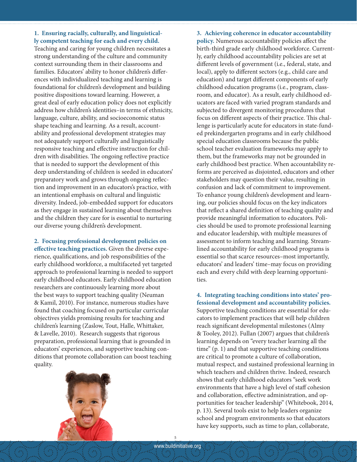#### **1. Ensuring racially, culturally, and linguistically competent teaching for each and every child.**

Teaching and caring for young children necessitates a strong understanding of the culture and community context surrounding them in their classrooms and families. Educators' ability to honor children's differences with individualized teaching and learning is foundational for children's development and building positive dispositions toward learning. However, a great deal of early education policy does not explicitly address how children's identities–in terms of ethnicity, language, culture, ability, and socioeconomic status shape teaching and learning. As a result, accountability and professional development strategies may not adequately support culturally and linguistically responsive teaching and effective instruction for children with disabilities. The ongoing reflective practice that is needed to support the development of this deep understanding of children is seeded in educators' preparatory work and grows through ongoing reflection and improvement in an educators's practice, with an intentional emphasis on cultural and linguistic diversity. Indeed, job-embedded support for educators as they engage in sustained learning about themselves and the children they care for is essential to nurturing our diverse young children's development.

**2. Focusing professional development policies on effective teaching practices.** Given the diverse experience, qualifications, and job responsibilities of the early childhood workforce, a multifaceted yet targeted approach to professional learning is needed to support early childhood educators. Early childhood education researchers are continuously learning more about the best ways to support teaching quality (Neuman & Kamil, 2010). For instance, numerous studies have found that coaching focused on particular curricular objectives yields promising results for teaching and children's learning (Zaslow, Tout, Halle, Whittaker, & Lavelle, 2010). Research suggests that rigorous preparation, professional learning that is grounded in educators' experiences, and supportive teaching conditions that promote collaboration can boost teaching quality.



#### **3. Achieving coherence in educator accountability**

**policy.** Numerous accountability policies affect the birth-third grade early childhood workforce. Currently, early childhood accountability policies are set at different levels of government (i.e., federal, state, and local), apply to different sectors (e.g., child care and education) and target different components of early childhood education programs (i.e., program, classroom, and educator). As a result, early childhood educators are faced with varied program standards and subjected to divergent monitoring procedures that focus on different aspects of their practice. This challenge is particularly acute for educators in state-funded prekindergarten programs and in early childhood special education classrooms because the public school teacher evaluation frameworks may apply to them, but the frameworks may not be grounded in early childhood best practice. When accountability reforms are perceived as disjointed, educators and other stakeholders may question their value, resulting in confusion and lack of commitment to improvement. To enhance young children's development and learning, our policies should focus on the key indicators that reflect a shared definition of teaching quality and provide meaningful information to educators. Policies should be used to promote professional learning and educator leadership, with multiple measures of assessment to inform teaching and learning. Streamlined accountability for early childhood programs is essential so that scarce resources–most importantly, educators' and leaders' time–may focus on providing each and every child with deep learning opportunities.

**4. Integrating teaching conditions into states' professional development and accountability policies.** Supportive teaching conditions are essential for educators to implement practices that will help children reach significant developmental milestones (Almy & Tooley, 2012). Fullan (2007) argues that children's learning depends on "every teacher learning all the time" (p. 1) and that supportive teaching conditions are critical to promote a culture of collaboration, mutual respect, and sustained professional learning in which teachers and children thrive. Indeed, research shows that early childhood educators "seek work environments that have a high level of staff cohesion and collaboration, effective administration, and opportunities for teacher leadership" (Whitebook, 2014, p. 13). Several tools exist to help leaders organize school and program environments so that educators have key supports, such as time to plan, collaborate,

5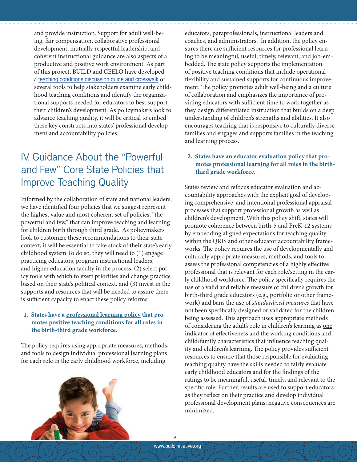and provide instruction. Support for adult well-being, fair compensation, collaborative professional development, mutually respectful leadership, and coherent instructional guidance are also aspects of a productive and positive work environment. As part of this project, BUILD and CEELO have developed a [teaching conditions discussion guide and crosswalk](http://teaching conditions discussion guide and crosswalk) of several tools to help stakeholders examine early childhood teaching conditions and identify the organizational supports needed for educators to best support their children's development. As policymakers look to advance teaching quality, it will be critical to embed these key constructs into states' professional development and accountability policies.

#### IV. Guidance About the "Powerful and Few" Core State Policies that Improve Teaching Quality

Informed by the collaboration of state and national leaders, we have identified four policies that we suggest represent the highest value and most coherent set of policies, "the powerful and few," that can improve teaching and learning for children birth through third grade. As policymakers look to customize these recommendations to their state context, it will be essential to take stock of their state's early childhood system To do so, they will need to (1) engage practicing educators, program instructional leaders, and higher education faculty in the process, (2) select policy tools with which to exert priorities and change practice based on their state's political context. and (3) invest in the supports and resources that will be needed to assure there is sufficient capacity to enact these policy reforms.

#### **1. States have a professional learning policy that promotes positive teaching conditions for all roles in the birth-third grade workforce.**

The policy requires using appropriate measures, methods, and tools to design individual professional learning plans for each role in the early childhood workforce, including



educators, paraprofessionals, instructional leaders and coaches, and administrators. In addition, the policy ensures there are sufficient resources for professional learning to be meaningful, useful, timely, relevant, and job-embedded. The state policy supports the implementation of positive teaching conditions that include operational flexibility and sustained supports for continuous improvement. The policy promotes adult well-being and a culture of collaboration and emphasizes the importance of providing educators with sufficient time to work together as they design differentiated instruction that builds on a deep understanding of children's strengths and abilities. It also encourages teaching that is responsive to culturally diverse families and engages and supports families in the teaching and learning process.

#### **2. States have an educator evaluation policy that promotes professional learning for all roles in the birththird grade workforce.**

States review and refocus educator evaluation and accountability approaches with the explicit goal of developing comprehensive, and intentional professional appraisal processes that support professional growth as well as children's development. With this policy shift, states will promote coherence between birth-5 and PreK-12 systems by embedding aligned expectations for teaching quality within the QRIS and other educator accountability frameworks. The policy requires the use of developmentally and culturally appropriate measures, methods, and tools to assess the professional competencies of a highly effective professional that is relevant for each role/setting in the early childhood workforce. The policy specifically requires the use of a valid and reliable measure of children's growth for birth-third grade educators (e.g., portfolio or other framework) and bans the use of *standardized measures* that have not been specifically designed or validated for the children being assessed. This approach uses appropriate methods of considering the adult's role in children's learning as one indicator of effectiveness and the working conditions and child/family characteristics that influence teaching quality and children's learning. The policy provides sufficient resources to ensure that those responsible for evaluating teaching quality have the skills needed to fairly evaluate early childhood educators and for the findings of the ratings to be meaningful, useful, timely, and relevant to the specific role. Further, results are used to support educators as they reflect on their practice and develop individual professional development plans; negative consequences are minimized.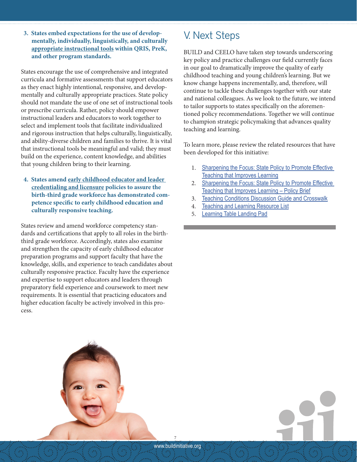**3. States embed expectations for the use of developmentally, individually, linguistically, and culturally appropriate instructional tools within QRIS, PreK, and other program standards.**

States encourage the use of comprehensive and integrated curricula and formative assessments that support educators as they enact highly intentional, responsive, and developmentally and culturally appropriate practices. State policy should not mandate the use of one set of instructional tools or prescribe curricula. Rather, policy should empower instructional leaders and educators to work together to select and implement tools that facilitate individualized and rigorous instruction that helps culturally, linguistically, and ability-diverse children and families to thrive. It is vital that instructional tools be meaningful and valid; they must build on the experience, content knowledge, and abilities that young children bring to their learning.

**4. States amend early childhood educator and leader credentialing and licensure policies to assure the birth-third grade workforce has demonstrated competence specific to early childhood education and culturally responsive teaching.** 

States review and amend workforce competency standards and certifications that apply to all roles in the birththird grade workforce. Accordingly, states also examine and strengthen the capacity of early childhood educator preparation programs and support faculty that have the knowledge, skills, and experience to teach candidates about culturally responsive practice. Faculty have the experience and expertise to support educators and leaders through preparatory field experience and coursework to meet new requirements. It is essential that practicing educators and higher education faculty be actively involved in this process.

#### V. Next Steps

BUILD and CEELO have taken step towards underscoring key policy and practice challenges our field currently faces in our goal to dramatically improve the quality of early childhood teaching and young children's learning. But we know change happens incrementally, and, therefore, will continue to tackle these challenges together with our state and national colleagues. As we look to the future, we intend to tailor supports to states specifically on the aforementioned policy recommendations. Together we will continue to champion strategic policymaking that advances quality teaching and learning.

To learn more, please review the related resources that have been developed for this initiative:

- 1. [Sharpening the Focus: State Policy to Promote Effective](http://qrisnetwork.org/resource/2015/sharpening-focus-state-policy-promote-effective-teaching-improves-learning)  [Teaching that Improves Learning](http://qrisnetwork.org/resource/2015/sharpening-focus-state-policy-promote-effective-teaching-improves-learning)
- 2. Sharpening the Focus: State Policy to Promote Effective [Teaching that Improves Learning – Policy Brief](http://qrisnetwork.org/resource/2015/sharpening-focus-state-policy-promote-effective-teaching-improves-learning)
- 3. [Teaching Conditions Discussion Guide and Crosswalk](http://qrisnetwork.org/resource/2015/sharpening-focus-state-policy-promote-effective-teaching-improves-learning)
- 4. [Teaching and Learning Resource List](http://qrisnetwork.org/resource/2015/sharpening-focus-state-policy-promote-effective-teaching-improves-learning)
- 5. [Learning Table Landing Pad](http://qrisnetwork.org/resource/2015/sharpening-focus-state-policy-promote-effective-teaching-improves-learning)

www.buildinitiative.org 7